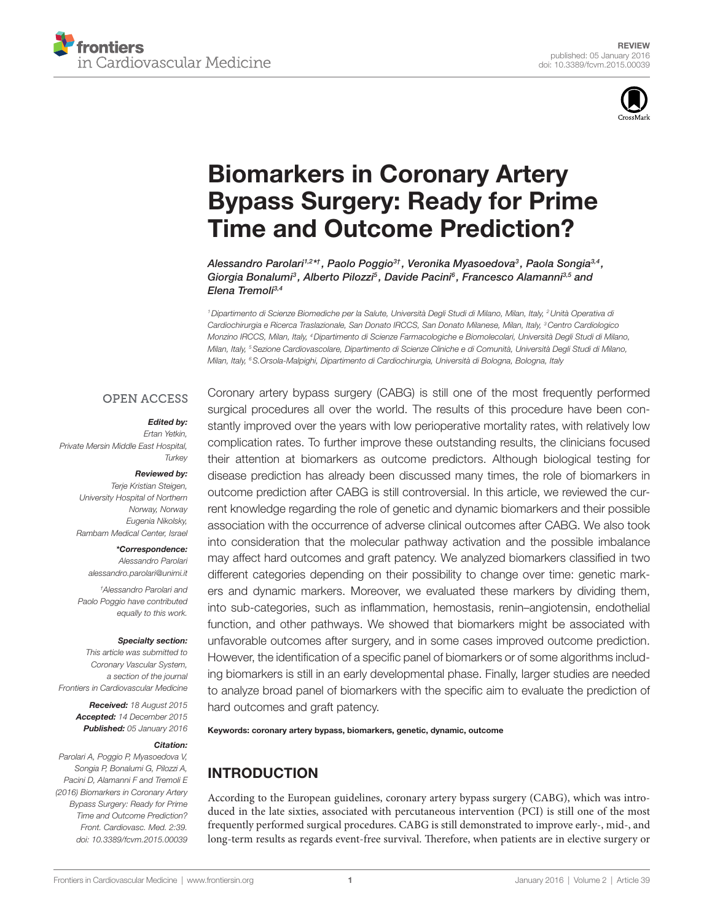



# [Biomarkers in Coronary Artery](http://www.frontiersin.org/Journal/10.3389/fcvm.2015.00039/abstract)  [Bypass Surgery: Ready for Prime](http://www.frontiersin.org/Journal/10.3389/fcvm.2015.00039/abstract)  [Time and Outcome Prediction?](http://www.frontiersin.org/Journal/10.3389/fcvm.2015.00039/abstract)

*[Alessandro Parolari](http://loop.frontiersin.org/people/265787/overview)1,2 \*† , [Paolo Poggio3](http://loop.frontiersin.org/people/303238/overview)† , [Veronika Myasoedova](http://loop.frontiersin.org/people/302317/overview)3 , [Paola Songia3](http://loop.frontiersin.org/people/303252/overview),4 , Giorgia Bonalumi3 , Alberto Pilozzi5 , [Davide Pacini](http://loop.frontiersin.org/people/159112/overview)6 , Francesco Alamanni3,5 and Elena Tremoli3,4*

*1Dipartimento di Scienze Biomediche per la Salute, Università Degli Studi di Milano, Milan, Italy, 2Unità Operativa di Cardiochirurgia e Ricerca Traslazionale, San Donato IRCCS, San Donato Milanese, Milan, Italy, 3Centro Cardiologico Monzino IRCCS, Milan, Italy, 4Dipartimento di Scienze Farmacologiche e Biomolecolari, Università Degli Studi di Milano, Milan, Italy, 5Sezione Cardiovascolare, Dipartimento di Scienze Cliniche e di Comunità, Università Degli Studi di Milano, Milan, Italy, 6S.Orsola-Malpighi, Dipartimento di Cardiochirurgia, Università di Bologna, Bologna, Italy*

#### **OPEN ACCESS**

#### *Edited by:*

*Ertan Yetkin, Private Mersin Middle East Hospital, Turkey*

#### *Reviewed by:*

*Terje Kristian Steigen, University Hospital of Northern Norway, Norway Eugenia Nikolsky, Rambam Medical Center, Israel*

*\*Correspondence: Alessandro Parolari [alessandro.parolari@unimi.it](mailto:alessandro.parolari@unimi.it)*

*† Alessandro Parolari and Paolo Poggio have contributed equally to this work.*

#### *Specialty section:*

*This article was submitted to Coronary Vascular System, a section of the journal Frontiers in Cardiovascular Medicine*

> *Received: 18 August 2015 Accepted: 14 December 2015 Published: 05 January 2016*

#### *Citation:*

*Parolari A, Poggio P, Myasoedova V, Songia P, Bonalumi G, Pilozzi A, Pacini D, Alamanni F and Tremoli E (2016) Biomarkers in Coronary Artery Bypass Surgery: Ready for Prime Time and Outcome Prediction? Front. Cardiovasc. Med. 2:39. doi: [10.3389/fcvm.2015.00039](http://dx.doi.org/10.3389/fcvm.2015.00039)* Coronary artery bypass surgery (CABG) is still one of the most frequently performed surgical procedures all over the world. The results of this procedure have been constantly improved over the years with low perioperative mortality rates, with relatively low complication rates. To further improve these outstanding results, the clinicians focused their attention at biomarkers as outcome predictors. Although biological testing for disease prediction has already been discussed many times, the role of biomarkers in outcome prediction after CABG is still controversial. In this article, we reviewed the current knowledge regarding the role of genetic and dynamic biomarkers and their possible association with the occurrence of adverse clinical outcomes after CABG. We also took into consideration that the molecular pathway activation and the possible imbalance may affect hard outcomes and graft patency. We analyzed biomarkers classified in two different categories depending on their possibility to change over time: genetic markers and dynamic markers. Moreover, we evaluated these markers by dividing them, into sub-categories, such as inflammation, hemostasis, renin–angiotensin, endothelial function, and other pathways. We showed that biomarkers might be associated with unfavorable outcomes after surgery, and in some cases improved outcome prediction. However, the identification of a specific panel of biomarkers or of some algorithms including biomarkers is still in an early developmental phase. Finally, larger studies are needed to analyze broad panel of biomarkers with the specific aim to evaluate the prediction of hard outcomes and graft patency.

Keywords: coronary artery bypass, biomarkers, genetic, dynamic, outcome

# INTRODUCTION

According to the European guidelines, coronary artery bypass surgery (CABG), which was introduced in the late sixties, associated with percutaneous intervention (PCI) is still one of the most frequently performed surgical procedures. CABG is still demonstrated to improve early-, mid-, and long-term results as regards event-free survival. Therefore, when patients are in elective surgery or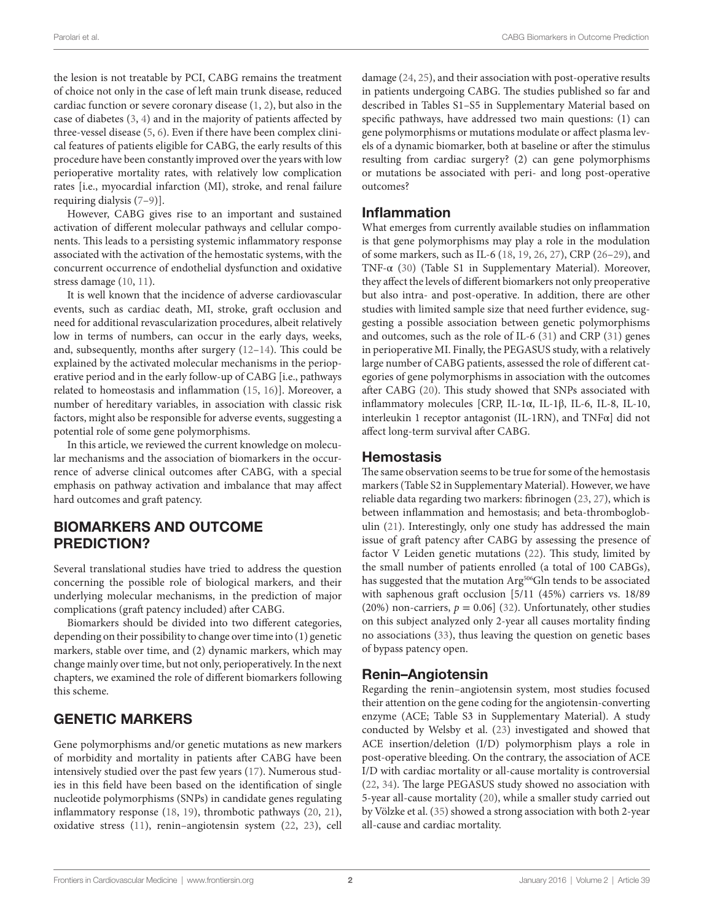the lesion is not treatable by PCI, CABG remains the treatment of choice not only in the case of left main trunk disease, reduced cardiac function or severe coronary disease [\(1,](#page-3-0) [2\)](#page-3-1), but also in the case of diabetes [\(3,](#page-3-2) [4](#page-3-3)) and in the majority of patients affected by three-vessel disease [\(5,](#page-3-4) [6\)](#page-3-5). Even if there have been complex clinical features of patients eligible for CABG, the early results of this procedure have been constantly improved over the years with low perioperative mortality rates, with relatively low complication rates [i.e., myocardial infarction (MI), stroke, and renal failure requiring dialysis [\(7](#page-3-6)–[9\)](#page-3-7)].

However, CABG gives rise to an important and sustained activation of different molecular pathways and cellular components. This leads to a persisting systemic inflammatory response associated with the activation of the hemostatic systems, with the concurrent occurrence of endothelial dysfunction and oxidative stress damage [\(10](#page-3-8), [11\)](#page-3-9).

It is well known that the incidence of adverse cardiovascular events, such as cardiac death, MI, stroke, graft occlusion and need for additional revascularization procedures, albeit relatively low in terms of numbers, can occur in the early days, weeks, and, subsequently, months after surgery [\(12](#page-3-10)[–14](#page-4-0)). This could be explained by the activated molecular mechanisms in the perioperative period and in the early follow-up of CABG [i.e., pathways related to homeostasis and inflammation ([15,](#page-4-1) [16](#page-4-2))]. Moreover, a number of hereditary variables, in association with classic risk factors, might also be responsible for adverse events, suggesting a potential role of some gene polymorphisms.

In this article, we reviewed the current knowledge on molecular mechanisms and the association of biomarkers in the occurrence of adverse clinical outcomes after CABG, with a special emphasis on pathway activation and imbalance that may affect hard outcomes and graft patency.

## BIOMARKERS AND OUTCOME PREDICTION?

Several translational studies have tried to address the question concerning the possible role of biological markers, and their underlying molecular mechanisms, in the prediction of major complications (graft patency included) after CABG.

Biomarkers should be divided into two different categories, depending on their possibility to change over time into (1) genetic markers, stable over time, and (2) dynamic markers, which may change mainly over time, but not only, perioperatively. In the next chapters, we examined the role of different biomarkers following this scheme.

# GENETIC MARKERS

Gene polymorphisms and/or genetic mutations as new markers of morbidity and mortality in patients after CABG have been intensively studied over the past few years [\(17](#page-4-3)). Numerous studies in this field have been based on the identification of single nucleotide polymorphisms (SNPs) in candidate genes regulating inflammatory response [\(18,](#page-4-4) [19\)](#page-4-5), thrombotic pathways [\(20](#page-4-6), [21\)](#page-4-7), oxidative stress [\(11\)](#page-3-9), renin–angiotensin system ([22](#page-4-8), [23](#page-4-9)), cell damage ([24,](#page-4-10) [25\)](#page-4-11), and their association with post-operative results in patients undergoing CABG. The studies published so far and described in Tables S1–S5 in Supplementary Material based on specific pathways, have addressed two main questions: (1) can gene polymorphisms or mutations modulate or affect plasma levels of a dynamic biomarker, both at baseline or after the stimulus resulting from cardiac surgery? (2) can gene polymorphisms or mutations be associated with peri- and long post-operative outcomes?

#### Inflammation

What emerges from currently available studies on inflammation is that gene polymorphisms may play a role in the modulation of some markers, such as IL-6 ([18,](#page-4-4) [19](#page-4-5), [26,](#page-4-12) [27](#page-4-13)), CRP ([26–](#page-4-12)[29](#page-4-14)), and TNF-α ([30\)](#page-4-15) (Table S1 in Supplementary Material). Moreover, they affect the levels of different biomarkers not only preoperative but also intra- and post-operative. In addition, there are other studies with limited sample size that need further evidence, suggesting a possible association between genetic polymorphisms and outcomes, such as the role of IL-6 ([31\)](#page-4-16) and CRP ([31\)](#page-4-16) genes in perioperative MI. Finally, the PEGASUS study, with a relatively large number of CABG patients, assessed the role of different categories of gene polymorphisms in association with the outcomes after CABG [\(20](#page-4-6)). This study showed that SNPs associated with inflammatory molecules [CRP, IL-1α, IL-1β, IL-6, IL-8, IL-10, interleukin 1 receptor antagonist (IL-1RN), and TNFα] did not affect long-term survival after CABG.

#### **Hemostasis**

The same observation seems to be true for some of the hemostasis markers (Table S2 in Supplementary Material). However, we have reliable data regarding two markers: fibrinogen ([23,](#page-4-9) [27](#page-4-13)), which is between inflammation and hemostasis; and beta-thromboglobulin ([21\)](#page-4-7). Interestingly, only one study has addressed the main issue of graft patency after CABG by assessing the presence of factor V Leiden genetic mutations [\(22](#page-4-8)). This study, limited by the small number of patients enrolled (a total of 100 CABGs), has suggested that the mutation Arg<sup>506</sup>Gln tends to be associated with saphenous graft occlusion [5/11 (45%) carriers vs. 18/89 (20%) non-carriers,  $p = 0.06$ ] ([32\)](#page-4-17). Unfortunately, other studies on this subject analyzed only 2-year all causes mortality finding no associations ([33\)](#page-4-18), thus leaving the question on genetic bases of bypass patency open.

#### Renin–Angiotensin

Regarding the renin–angiotensin system, most studies focused their attention on the gene coding for the angiotensin-converting enzyme (ACE; Table S3 in Supplementary Material). A study conducted by Welsby et al. ([23\)](#page-4-9) investigated and showed that ACE insertion/deletion (I/D) polymorphism plays a role in post-operative bleeding. On the contrary, the association of ACE I/D with cardiac mortality or all-cause mortality is controversial [\(22,](#page-4-8) [34](#page-4-19)). The large PEGASUS study showed no association with 5-year all-cause mortality ([20\)](#page-4-6), while a smaller study carried out by Völzke et al. [\(35](#page-4-20)) showed a strong association with both 2-year all-cause and cardiac mortality.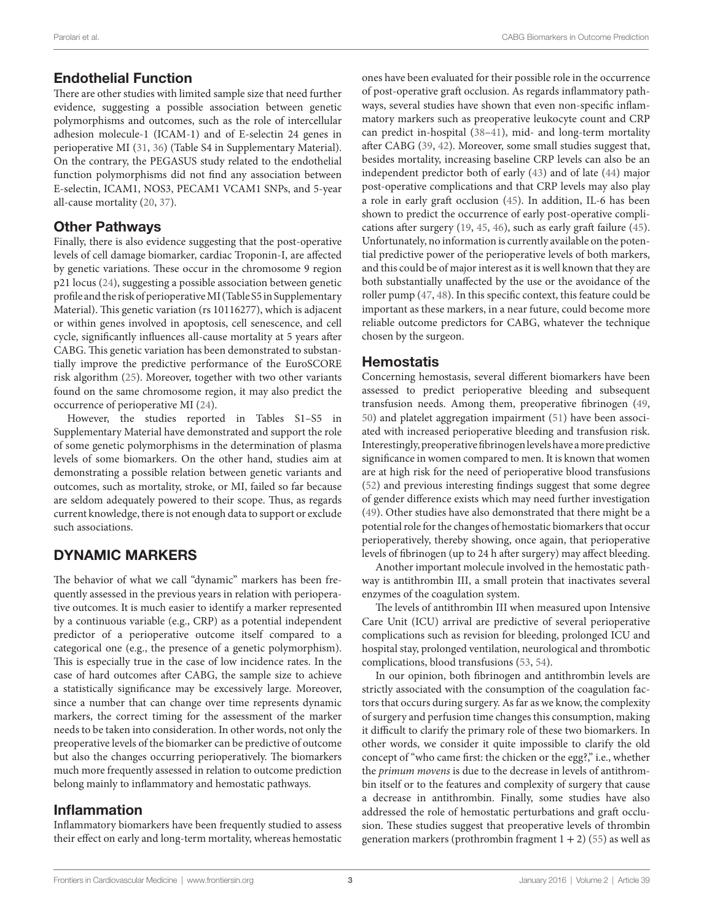# Endothelial Function

There are other studies with limited sample size that need further evidence, suggesting a possible association between genetic polymorphisms and outcomes, such as the role of intercellular adhesion molecule-1 (ICAM-1) and of E-selectin 24 genes in perioperative MI ([31,](#page-4-16) [36](#page-4-21)) (Table S4 in Supplementary Material). On the contrary, the PEGASUS study related to the endothelial function polymorphisms did not find any association between E-selectin, ICAM1, NOS3, PECAM1 VCAM1 SNPs, and 5-year all-cause mortality [\(20,](#page-4-6) [37](#page-4-22)).

#### Other Pathways

Finally, there is also evidence suggesting that the post-operative levels of cell damage biomarker, cardiac Troponin-I, are affected by genetic variations. These occur in the chromosome 9 region p21 locus ([24\)](#page-4-10), suggesting a possible association between genetic profile and the risk of perioperative MI (Table S5 in Supplementary Material). This genetic variation (rs 10116277), which is adjacent or within genes involved in apoptosis, cell senescence, and cell cycle, significantly influences all-cause mortality at 5 years after CABG. This genetic variation has been demonstrated to substantially improve the predictive performance of the EuroSCORE risk algorithm [\(25](#page-4-11)). Moreover, together with two other variants found on the same chromosome region, it may also predict the occurrence of perioperative MI [\(24](#page-4-10)).

However, the studies reported in Tables S1–S5 in Supplementary Material have demonstrated and support the role of some genetic polymorphisms in the determination of plasma levels of some biomarkers. On the other hand, studies aim at demonstrating a possible relation between genetic variants and outcomes, such as mortality, stroke, or MI, failed so far because are seldom adequately powered to their scope. Thus, as regards current knowledge, there is not enough data to support or exclude such associations.

# DYNAMIC MARKERS

The behavior of what we call "dynamic" markers has been frequently assessed in the previous years in relation with perioperative outcomes. It is much easier to identify a marker represented by a continuous variable (e.g., CRP) as a potential independent predictor of a perioperative outcome itself compared to a categorical one (e.g., the presence of a genetic polymorphism). This is especially true in the case of low incidence rates. In the case of hard outcomes after CABG, the sample size to achieve a statistically significance may be excessively large. Moreover, since a number that can change over time represents dynamic markers, the correct timing for the assessment of the marker needs to be taken into consideration. In other words, not only the preoperative levels of the biomarker can be predictive of outcome but also the changes occurring perioperatively. The biomarkers much more frequently assessed in relation to outcome prediction belong mainly to inflammatory and hemostatic pathways.

## Inflammation

Inflammatory biomarkers have been frequently studied to assess their effect on early and long-term mortality, whereas hemostatic ones have been evaluated for their possible role in the occurrence of post-operative graft occlusion. As regards inflammatory pathways, several studies have shown that even non-specific inflammatory markers such as preoperative leukocyte count and CRP can predict in-hospital [\(38](#page-4-23)[–41](#page-4-24)), mid- and long-term mortality after CABG ([39,](#page-4-25) [42\)](#page-4-26). Moreover, some small studies suggest that, besides mortality, increasing baseline CRP levels can also be an independent predictor both of early [\(43](#page-4-27)) and of late [\(44](#page-4-28)) major post-operative complications and that CRP levels may also play a role in early graft occlusion ([45\)](#page-4-29). In addition, IL-6 has been shown to predict the occurrence of early post-operative complications after surgery [\(19,](#page-4-5) [45](#page-4-29), [46](#page-4-30)), such as early graft failure [\(45](#page-4-29)). Unfortunately, no information is currently available on the potential predictive power of the perioperative levels of both markers, and this could be of major interest as it is well known that they are both substantially unaffected by the use or the avoidance of the roller pump [\(47](#page-4-31), [48](#page-5-0)). In this specific context, this feature could be important as these markers, in a near future, could become more reliable outcome predictors for CABG, whatever the technique chosen by the surgeon.

## **Hemostatis**

Concerning hemostasis, several different biomarkers have been assessed to predict perioperative bleeding and subsequent transfusion needs. Among them, preoperative fibrinogen ([49,](#page-5-1) [50](#page-5-2)) and platelet aggregation impairment [\(51](#page-5-3)) have been associated with increased perioperative bleeding and transfusion risk. Interestingly, preoperative fibrinogen levels have a more predictive significance in women compared to men. It is known that women are at high risk for the need of perioperative blood transfusions [\(52\)](#page-5-4) and previous interesting findings suggest that some degree of gender difference exists which may need further investigation [\(49\)](#page-5-1). Other studies have also demonstrated that there might be a potential role for the changes of hemostatic biomarkers that occur perioperatively, thereby showing, once again, that perioperative levels of fibrinogen (up to 24 h after surgery) may affect bleeding.

Another important molecule involved in the hemostatic pathway is antithrombin III, a small protein that inactivates several enzymes of the coagulation system.

The levels of antithrombin III when measured upon Intensive Care Unit (ICU) arrival are predictive of several perioperative complications such as revision for bleeding, prolonged ICU and hospital stay, prolonged ventilation, neurological and thrombotic complications, blood transfusions ([53,](#page-5-5) [54](#page-5-6)).

In our opinion, both fibrinogen and antithrombin levels are strictly associated with the consumption of the coagulation factors that occurs during surgery. As far as we know, the complexity of surgery and perfusion time changes this consumption, making it difficult to clarify the primary role of these two biomarkers. In other words, we consider it quite impossible to clarify the old concept of "who came first: the chicken or the egg?," i.e., whether the *primum movens* is due to the decrease in levels of antithrombin itself or to the features and complexity of surgery that cause a decrease in antithrombin. Finally, some studies have also addressed the role of hemostatic perturbations and graft occlusion. These studies suggest that preoperative levels of thrombin generation markers (prothrombin fragment  $1 + 2$ ) [\(55](#page-5-7)) as well as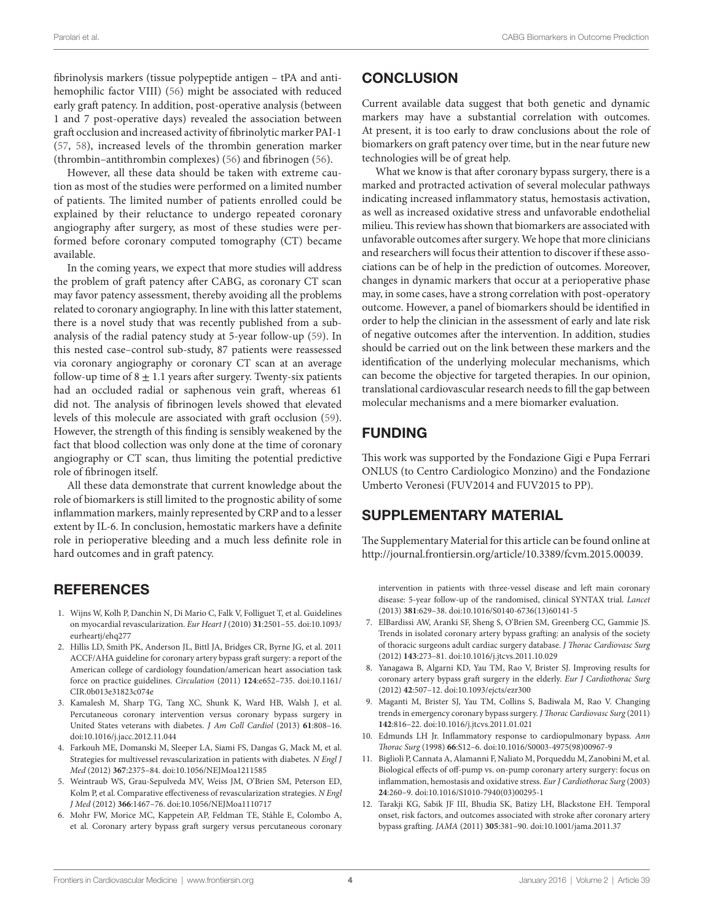fibrinolysis markers (tissue polypeptide antigen – tPA and antihemophilic factor VIII) [\(56](#page-5-8)) might be associated with reduced early graft patency. In addition, post-operative analysis (between 1 and 7 post-operative days) revealed the association between graft occlusion and increased activity of fibrinolytic marker PAI-1 ([57,](#page-5-9) [58](#page-5-10)), increased levels of the thrombin generation marker (thrombin–antithrombin complexes) [\(56](#page-5-8)) and fibrinogen [\(56](#page-5-8)).

However, all these data should be taken with extreme caution as most of the studies were performed on a limited number of patients. The limited number of patients enrolled could be explained by their reluctance to undergo repeated coronary angiography after surgery, as most of these studies were performed before coronary computed tomography (CT) became available.

In the coming years, we expect that more studies will address the problem of graft patency after CABG, as coronary CT scan may favor patency assessment, thereby avoiding all the problems related to coronary angiography. In line with this latter statement, there is a novel study that was recently published from a subanalysis of the radial patency study at 5-year follow-up [\(59\)](#page-5-11). In this nested case–control sub-study, 87 patients were reassessed via coronary angiography or coronary CT scan at an average follow-up time of  $8 \pm 1.1$  years after surgery. Twenty-six patients had an occluded radial or saphenous vein graft, whereas 61 did not. The analysis of fibrinogen levels showed that elevated levels of this molecule are associated with graft occlusion ([59\)](#page-5-11). However, the strength of this finding is sensibly weakened by the fact that blood collection was only done at the time of coronary angiography or CT scan, thus limiting the potential predictive role of fibrinogen itself.

All these data demonstrate that current knowledge about the role of biomarkers is still limited to the prognostic ability of some inflammation markers, mainly represented by CRP and to a lesser extent by IL-6. In conclusion, hemostatic markers have a definite role in perioperative bleeding and a much less definite role in hard outcomes and in graft patency.

## **REFERENCES**

- <span id="page-3-0"></span>1. Wijns W, Kolh P, Danchin N, Di Mario C, Falk V, Folliguet T, et al. Guidelines on myocardial revascularization. *Eur Heart J* (2010) **31**:2501–55. doi[:10.1093/](http://dx.doi.org/10.1093/eurheartj/ehq277) [eurheartj/ehq277](http://dx.doi.org/10.1093/eurheartj/ehq277)
- <span id="page-3-1"></span>2. Hillis LD, Smith PK, Anderson JL, Bittl JA, Bridges CR, Byrne JG, et al. 2011 ACCF/AHA guideline for coronary artery bypass graft surgery: a report of the American college of cardiology foundation/american heart association task force on practice guidelines. *Circulation* (2011) **124**:e652–735. doi[:10.1161/](http://dx.doi.org/10.1161/CIR.0b013e31823c074e) [CIR.0b013e31823c074e](http://dx.doi.org/10.1161/CIR.0b013e31823c074e)
- <span id="page-3-2"></span>3. Kamalesh M, Sharp TG, Tang XC, Shunk K, Ward HB, Walsh J, et al. Percutaneous coronary intervention versus coronary bypass surgery in United States veterans with diabetes. *J Am Coll Cardiol* (2013) **61**:808–16. doi:[10.1016/j.jacc.2012.11.044](http://dx.doi.org/10.1016/j.jacc.2012.11.044)
- <span id="page-3-3"></span>4. Farkouh ME, Domanski M, Sleeper LA, Siami FS, Dangas G, Mack M, et al. Strategies for multivessel revascularization in patients with diabetes. *N Engl J Med* (2012) **367**:2375–84. doi:[10.1056/NEJMoa1211585](http://dx.doi.org/10.1056/NEJMoa1211585)
- <span id="page-3-4"></span>5. Weintraub WS, Grau-Sepulveda MV, Weiss JM, O'Brien SM, Peterson ED, Kolm P, et al. Comparative effectiveness of revascularization strategies. *N Engl J Med* (2012) **366**:1467–76. doi:[10.1056/NEJMoa1110717](http://dx.doi.org/10.1056/NEJMoa1110717)
- <span id="page-3-5"></span>6. Mohr FW, Morice MC, Kappetein AP, Feldman TE, Ståhle E, Colombo A, et al. Coronary artery bypass graft surgery versus percutaneous coronary

# **CONCLUSION**

Current available data suggest that both genetic and dynamic markers may have a substantial correlation with outcomes. At present, it is too early to draw conclusions about the role of biomarkers on graft patency over time, but in the near future new technologies will be of great help.

What we know is that after coronary bypass surgery, there is a marked and protracted activation of several molecular pathways indicating increased inflammatory status, hemostasis activation, as well as increased oxidative stress and unfavorable endothelial milieu. This review has shown that biomarkers are associated with unfavorable outcomes after surgery. We hope that more clinicians and researchers will focus their attention to discover if these associations can be of help in the prediction of outcomes. Moreover, changes in dynamic markers that occur at a perioperative phase may, in some cases, have a strong correlation with post-operatory outcome. However, a panel of biomarkers should be identified in order to help the clinician in the assessment of early and late risk of negative outcomes after the intervention. In addition, studies should be carried out on the link between these markers and the identification of the underlying molecular mechanisms, which can become the objective for targeted therapies. In our opinion, translational cardiovascular research needs to fill the gap between molecular mechanisms and a mere biomarker evaluation.

# FUNDING

This work was supported by the Fondazione Gigi e Pupa Ferrari ONLUS (to Centro Cardiologico Monzino) and the Fondazione Umberto Veronesi (FUV2014 and FUV2015 to PP).

## SUPPLEMENTARY MATERIAL

The Supplementary Material for this article can be found online at [http://journal.frontiersin.org/article/10.3389/fcvm.2015.00039.](http://journal.frontiersin.org/article/10.3389/fcvm.2015.00039)

intervention in patients with three-vessel disease and left main coronary disease: 5-year follow-up of the randomised, clinical SYNTAX trial. *Lancet* (2013) **381**:629–38. doi[:10.1016/S0140-6736\(13\)60141-5](http://dx.doi.org/10.1016/S0140-6736(13)60141-5)

- <span id="page-3-6"></span>7. ElBardissi AW, Aranki SF, Sheng S, O'Brien SM, Greenberg CC, Gammie JS. Trends in isolated coronary artery bypass grafting: an analysis of the society of thoracic surgeons adult cardiac surgery database. *J Thorac Cardiovasc Surg* (2012) **143**:273–81. doi[:10.1016/j.jtcvs.2011.10.029](http://dx.doi.org/10.1016/j.jtcvs.2011.10.029)
- 8. Yanagawa B, Algarni KD, Yau TM, Rao V, Brister SJ. Improving results for coronary artery bypass graft surgery in the elderly. *Eur J Cardiothorac Surg* (2012) **42**:507–12. doi[:10.1093/ejcts/ezr300](http://dx.doi.org/10.1093/ejcts/ezr300)
- <span id="page-3-7"></span>9. Maganti M, Brister SJ, Yau TM, Collins S, Badiwala M, Rao V. Changing trends in emergency coronary bypass surgery. *J Thorac Cardiovasc Surg* (2011) **142**:816–22. doi:[10.1016/j.jtcvs.2011.01.021](http://dx.doi.org/10.1016/j.jtcvs.2011.01.021)
- <span id="page-3-8"></span>10. Edmunds LH Jr. Inflammatory response to cardiopulmonary bypass. *Ann Thorac Surg* (1998) **66**:S12–6. doi:[10.1016/S0003-4975\(98\)00967-9](http://dx.doi.org/10.1016/S0003-4975(98)00967-9)
- <span id="page-3-9"></span>11. Biglioli P, Cannata A, Alamanni F, Naliato M, Porqueddu M, Zanobini M, et al. Biological effects of off-pump vs. on-pump coronary artery surgery: focus on inflammation, hemostasis and oxidative stress. *Eur J Cardiothorac Surg* (2003) **24**:260–9. doi[:10.1016/S1010-7940\(03\)00295-1](http://dx.doi.org/10.1016/S1010-7940(03)00295-1)
- <span id="page-3-10"></span>12. Tarakji KG, Sabik JF III, Bhudia SK, Batizy LH, Blackstone EH. Temporal onset, risk factors, and outcomes associated with stroke after coronary artery bypass grafting. *JAMA* (2011) **305**:381–90. doi[:10.1001/jama.2011.37](http://dx.doi.org/10.1001/jama.2011.37)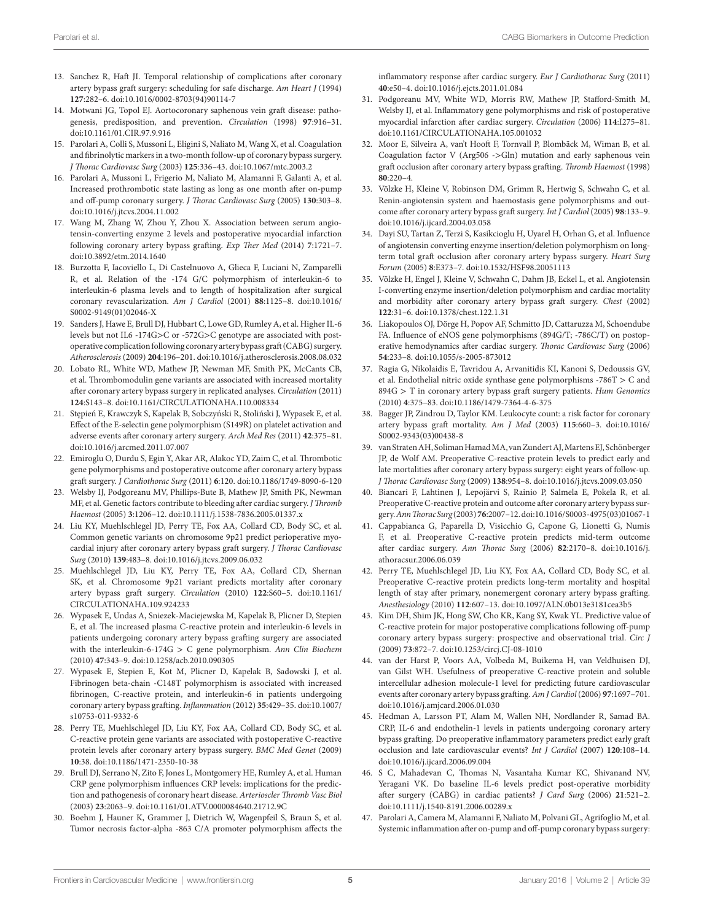- 13. Sanchez R, Haft JI. Temporal relationship of complications after coronary artery bypass graft surgery: scheduling for safe discharge. *Am Heart J* (1994) **127**:282–6. doi[:10.1016/0002-8703\(94\)90114-7](http://dx.doi.org/10.1016/0002-8703(94)90114-7)
- <span id="page-4-0"></span>14. Motwani JG, Topol EJ. Aortocoronary saphenous vein graft disease: pathogenesis, predisposition, and prevention. *Circulation* (1998) **97**:916–31. doi:10.1161/01 CIR 97.9.916
- <span id="page-4-1"></span>15. Parolari A, Colli S, Mussoni L, Eligini S, Naliato M, Wang X, et al. Coagulation and fibrinolytic markers in a two-month follow-up of coronary bypass surgery. *J Thorac Cardiovasc Surg* (2003) **125**:336–43. doi[:10.1067/mtc.2003.2](http://dx.doi.org/10.1067/mtc.2003.2)
- <span id="page-4-2"></span>16. Parolari A, Mussoni L, Frigerio M, Naliato M, Alamanni F, Galanti A, et al. Increased prothrombotic state lasting as long as one month after on-pump and off-pump coronary surgery. *J Thorac Cardiovasc Surg* (2005) **130**:303–8. doi:[10.1016/j.jtcvs.2004.11.002](http://dx.doi.org/10.1016/j.jtcvs.2004.11.002)
- <span id="page-4-3"></span>17. Wang M, Zhang W, Zhou Y, Zhou X. Association between serum angiotensin-converting enzyme 2 levels and postoperative myocardial infarction following coronary artery bypass grafting. *Exp Ther Med* (2014) **7**:1721–7. doi:[10.3892/etm.2014.1640](http://dx.doi.org/10.3892/etm.2014.1640)
- <span id="page-4-4"></span>18. Burzotta F, Iacoviello L, Di Castelnuovo A, Glieca F, Luciani N, Zamparelli R, et al. Relation of the -174 G/C polymorphism of interleukin-6 to interleukin-6 plasma levels and to length of hospitalization after surgical coronary revascularization. *Am J Cardiol* (2001) **88**:1125–8. doi[:10.1016/](http://dx.doi.org/10.1016/S0002-9149(01)02046-X) [S0002-9149\(01\)02046-X](http://dx.doi.org/10.1016/S0002-9149(01)02046-X)
- <span id="page-4-5"></span>19. Sanders J, Hawe E, Brull DJ, Hubbart C, Lowe GD, Rumley A, et al. Higher IL-6 levels but not IL6 -174G>C or -572G>C genotype are associated with postoperative complication following coronary artery bypass graft (CABG) surgery. *Atherosclerosis* (2009) **204**:196–201. doi[:10.1016/j.atherosclerosis.2008.08.032](http://dx.doi.org/10.1016/j.atherosclerosis.2008.08.032)
- <span id="page-4-6"></span>20. Lobato RL, White WD, Mathew JP, Newman MF, Smith PK, McCants CB, et al. Thrombomodulin gene variants are associated with increased mortality after coronary artery bypass surgery in replicated analyses. *Circulation* (2011) **124**:S143–8. doi:[10.1161/CIRCULATIONAHA.110.008334](http://dx.doi.org/10.1161/CIRCULATIONAHA.110.008334)
- <span id="page-4-7"></span>21. Stępień E, Krawczyk S, Kapelak B, Sobczyński R, Stoliński J, Wypasek E, et al. Effect of the E-selectin gene polymorphism (S149R) on platelet activation and adverse events after coronary artery surgery. *Arch Med Res* (2011) **42**:375–81. doi:[10.1016/j.arcmed.2011.07.007](http://dx.doi.org/10.1016/j.arcmed.2011.07.007)
- <span id="page-4-8"></span>22. Emiroglu O, Durdu S, Egin Y, Akar AR, Alakoc YD, Zaim C, et al. Thrombotic gene polymorphisms and postoperative outcome after coronary artery bypass graft surgery. *J Cardiothorac Surg* (2011) **6**:120. doi[:10.1186/1749-8090-6-120](http://dx.doi.org/10.1186/1749-8090-6-120)
- <span id="page-4-9"></span>23. Welsby IJ, Podgoreanu MV, Phillips-Bute B, Mathew JP, Smith PK, Newman MF, et al. Genetic factors contribute to bleeding after cardiac surgery. *J Thromb Haemost* (2005) **3**:1206–12. doi[:10.1111/j.1538-7836.2005.01337.x](http://dx.doi.org/10.1111/j.1538-7836.2005.01337.x)
- <span id="page-4-10"></span>24. Liu KY, Muehlschlegel JD, Perry TE, Fox AA, Collard CD, Body SC, et al. Common genetic variants on chromosome 9p21 predict perioperative myocardial injury after coronary artery bypass graft surgery. *J Thorac Cardiovasc Surg* (2010) **139**:483–8. doi:[10.1016/j.jtcvs.2009.06.032](http://dx.doi.org/10.1016/j.jtcvs.2009.06.032)
- <span id="page-4-11"></span>25. Muehlschlegel JD, Liu KY, Perry TE, Fox AA, Collard CD, Shernan SK, et al. Chromosome 9p21 variant predicts mortality after coronary artery bypass graft surgery. *Circulation* (2010) **122**:S60–5. doi[:10.1161/](http://dx.doi.org/10.1161/CIRCULATIONAHA.109.924233) [CIRCULATIONAHA.109.924233](http://dx.doi.org/10.1161/CIRCULATIONAHA.109.924233)
- <span id="page-4-12"></span>26. Wypasek E, Undas A, Sniezek-Maciejewska M, Kapelak B, Plicner D, Stepien E, et al. The increased plasma C-reactive protein and interleukin-6 levels in patients undergoing coronary artery bypass grafting surgery are associated with the interleukin-6-174G > C gene polymorphism. *Ann Clin Biochem* (2010) **47**:343–9. doi:[10.1258/acb.2010.090305](http://dx.doi.org/10.1258/acb.2010.090305)
- <span id="page-4-13"></span>27. Wypasek E, Stepien E, Kot M, Plicner D, Kapelak B, Sadowski J, et al. Fibrinogen beta-chain -C148T polymorphism is associated with increased fibrinogen, C-reactive protein, and interleukin-6 in patients undergoing coronary artery bypass grafting. *Inflammation* (2012) **35**:429–35. doi[:10.1007/](http://dx.doi.org/10.1007/s10753-011-9332-6) [s10753-011-9332-6](http://dx.doi.org/10.1007/s10753-011-9332-6)
- 28. Perry TE, Muehlschlegel JD, Liu KY, Fox AA, Collard CD, Body SC, et al. C-reactive protein gene variants are associated with postoperative C-reactive protein levels after coronary artery bypass surgery. *BMC Med Genet* (2009) **10**:38. doi:[10.1186/1471-2350-10-38](http://dx.doi.org/10.1186/1471-2350-10-38)
- <span id="page-4-14"></span>29. Brull DJ, Serrano N, Zito F, Jones L, Montgomery HE, Rumley A, et al. Human CRP gene polymorphism influences CRP levels: implications for the prediction and pathogenesis of coronary heart disease. *Arterioscler Thromb Vasc Biol* (2003) **23**:2063–9. doi:[10.1161/01.ATV.0000084640.21712.9C](http://dx.doi.org/10.1161/01.ATV.0000084640.21712.9C)
- <span id="page-4-15"></span>30. Boehm J, Hauner K, Grammer J, Dietrich W, Wagenpfeil S, Braun S, et al. Tumor necrosis factor-alpha -863 C/A promoter polymorphism affects the

<span id="page-4-16"></span>inflammatory response after cardiac surgery. *Eur J Cardiothorac Surg* (2011) **40**:e50–4. doi[:10.1016/j.ejcts.2011.01.084](http://dx.doi.org/10.1016/j.ejcts.2011.01.084)

- 31. Podgoreanu MV, White WD, Morris RW, Mathew JP, Stafford-Smith M, Welsby IJ, et al. Inflammatory gene polymorphisms and risk of postoperative myocardial infarction after cardiac surgery. *Circulation* (2006) **114**:I275–81. doi:[10.1161/CIRCULATIONAHA.105.001032](http://dx.doi.org/10.1161/CIRCULATIONAHA.105.001032)
- <span id="page-4-17"></span>32. Moor E, Silveira A, van't Hooft F, Tornvall P, Blombäck M, Wiman B, et al. Coagulation factor V (Arg506 ->Gln) mutation and early saphenous vein graft occlusion after coronary artery bypass grafting. *Thromb Haemost* (1998) **80**:220–4.
- <span id="page-4-18"></span>33. Völzke H, Kleine V, Robinson DM, Grimm R, Hertwig S, Schwahn C, et al. Renin-angiotensin system and haemostasis gene polymorphisms and outcome after coronary artery bypass graft surgery. *Int J Cardiol* (2005) **98**:133–9. doi:[10.1016/j.ijcard.2004.03.058](http://dx.doi.org/10.1016/j.ijcard.2004.03.058)
- <span id="page-4-19"></span>34. Dayi SU, Tartan Z, Terzi S, Kasikcioglu H, Uyarel H, Orhan G, et al. Influence of angiotensin converting enzyme insertion/deletion polymorphism on longterm total graft occlusion after coronary artery bypass surgery. *Heart Surg Forum* (2005) **8**:E373–7. doi:[10.1532/HSF98.20051113](http://dx.doi.org/10.1532/HSF98.20051113)
- <span id="page-4-20"></span>35. Völzke H, Engel J, Kleine V, Schwahn C, Dahm JB, Eckel L, et al. Angiotensin I-converting enzyme insertion/deletion polymorphism and cardiac mortality and morbidity after coronary artery bypass graft surgery. *Chest* (2002) **122**:31–6. doi:[10.1378/chest.122.1.31](http://dx.doi.org/10.1378/chest.122.1.31)
- <span id="page-4-21"></span>36. Liakopoulos OJ, Dörge H, Popov AF, Schmitto JD, Cattaruzza M, Schoendube FA. Influence of eNOS gene polymorphisms (894G/T; -786C/T) on postoperative hemodynamics after cardiac surgery. *Thorac Cardiovasc Surg* (2006) **54**:233–8. doi[:10.1055/s-2005-873012](http://dx.doi.org/10.1055/s-2005-873012)
- <span id="page-4-22"></span>37. Ragia G, Nikolaidis E, Tavridou A, Arvanitidis KI, Kanoni S, Dedoussis GV, et al. Endothelial nitric oxide synthase gene polymorphisms -786T > C and 894G > T in coronary artery bypass graft surgery patients. *Hum Genomics* (2010) **4**:375–83. doi:[10.1186/1479-7364-4-6-375](http://dx.doi.org/10.1186/1479-7364-4-6-375)
- <span id="page-4-23"></span>38. Bagger JP, Zindrou D, Taylor KM. Leukocyte count: a risk factor for coronary artery bypass graft mortality. *Am J Med* (2003) **115**:660–3. doi[:10.1016/](http://dx.doi.org/10.1016/S0002-9343(03)00438-8) [S0002-9343\(03\)00438-8](http://dx.doi.org/10.1016/S0002-9343(03)00438-8)
- <span id="page-4-25"></span>39. van Straten AH, Soliman Hamad MA, van Zundert AJ, Martens EJ, Schönberger JP, de Wolf AM. Preoperative C-reactive protein levels to predict early and late mortalities after coronary artery bypass surgery: eight years of follow-up. *J Thorac Cardiovasc Surg* (2009) **138**:954–8. doi:[10.1016/j.jtcvs.2009.03.050](http://dx.doi.org/10.1016/j.jtcvs.2009.03.050)
- 40. Biancari F, Lahtinen J, Lepojärvi S, Rainio P, Salmela E, Pokela R, et al. Preoperative C-reactive protein and outcome after coronary artery bypass surgery. *Ann Thorac Surg* (2003) **76**:2007–12. doi[:10.1016/S0003-4975\(03\)01067-1](http://dx.doi.org/10.1016/S0003-4975(03)01067-1)
- <span id="page-4-24"></span>41. Cappabianca G, Paparella D, Visicchio G, Capone G, Lionetti G, Numis F, et al. Preoperative C-reactive protein predicts mid-term outcome after cardiac surgery. *Ann Thorac Surg* (2006) **82**:2170–8. doi[:10.1016/j.](http://dx.doi.org/10.1016/j.athoracsur.2006.06.039) [athoracsur.2006.06.039](http://dx.doi.org/10.1016/j.athoracsur.2006.06.039)
- <span id="page-4-26"></span>42. Perry TE, Muehlschlegel JD, Liu KY, Fox AA, Collard CD, Body SC, et al. Preoperative C-reactive protein predicts long-term mortality and hospital length of stay after primary, nonemergent coronary artery bypass grafting. *Anesthesiology* (2010) **112**:607–13. doi:[10.1097/ALN.0b013e3181cea3b5](http://dx.doi.org/10.1097/ALN.0b013e3181cea3b5)
- <span id="page-4-27"></span>43. Kim DH, Shim JK, Hong SW, Cho KR, Kang SY, Kwak YL. Predictive value of C-reactive protein for major postoperative complications following off-pump coronary artery bypass surgery: prospective and observational trial. *Circ J* (2009) **73**:872–7. doi:[10.1253/circj.CJ-08-1010](http://dx.doi.org/10.1253/circj.CJ-08-1010)
- <span id="page-4-28"></span>44. van der Harst P, Voors AA, Volbeda M, Buikema H, van Veldhuisen DJ, van Gilst WH. Usefulness of preoperative C-reactive protein and soluble intercellular adhesion molecule-1 level for predicting future cardiovascular events after coronary artery bypass grafting. *Am J Cardiol* (2006) **97**:1697–701. doi:[10.1016/j.amjcard.2006.01.030](http://dx.doi.org/10.1016/j.amjcard.2006.01.030)
- <span id="page-4-29"></span>45. Hedman A, Larsson PT, Alam M, Wallen NH, Nordlander R, Samad BA. CRP, IL-6 and endothelin-1 levels in patients undergoing coronary artery bypass grafting. Do preoperative inflammatory parameters predict early graft occlusion and late cardiovascular events? *Int J Cardiol* (2007) **120**:108–14. doi:[10.1016/j.ijcard.2006.09.004](http://dx.doi.org/10.1016/j.ijcard.2006.09.004)
- <span id="page-4-30"></span>46. S C, Mahadevan C, Thomas N, Vasantaha Kumar KC, Shivanand NV, Yeragani VK. Do baseline IL-6 levels predict post-operative morbidity after surgery (CABG) in cardiac patients? *J Card Surg* (2006) **21**:521–2. doi:[10.1111/j.1540-8191.2006.00289.x](http://dx.doi.org/10.1111/j.1540-8191.2006.00289.x)
- <span id="page-4-31"></span>47. Parolari A, Camera M, Alamanni F, Naliato M, Polvani GL, Agrifoglio M, et al. Systemic inflammation after on-pump and off-pump coronary bypass surgery: